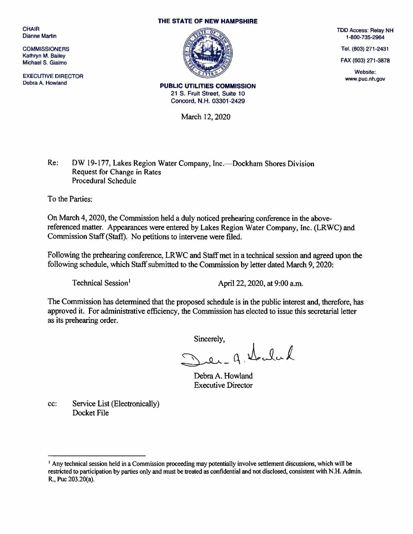**CHAIR** Dianne Martin

**COMMISSIONERS** Kathryn M. Bailey Michael S. Giafmo

EXECUTIVE DIRECTOR Debra A. Howland

## THE STATE OF NEW HAMPSHIRE



TDD Access: Relay NH 1-800-735-2964

Tel. (603) 271-2431

FAX (603) 271-3878

Website: www.puc.nh.gov

PUBLIC UTILITIES COMMISSION 21 S. Fruit Street, Suite 10 Concord, N.H. 03301 -2429

March 12, 2020

Re: DW 19-177, Lakes Region Water Company, Inc.—Dockham Shores Division Request for Change in Rates Procedural Schedule

To the Parties:

On March 4, 2020, the Commission held a duly noticed prehearing conference in the abovereferenced matter. Appearances were entered by Lakes Region Water Company, Inc. (LRWC) and Commission Staff (Staff). No petitions to intervene were filed.

Following the prehearing conference, LR WC and Staff met in a technical session and agreed upon the following schedule, which Staff submitted to the Commission by letter dated March 9, 2020:

Technical Session<sup>1</sup>  $\Delta$ pril 22, 2020, at 9:00 a.m.

The Commission has determined that the proposed schedule is in the public interest and, therefore, has approved it. For administrative efficiency, the Commission has elected to issue this secretarial letter as its prehearing order.

Sincerely,

 $a^{\dagger}$  the lead

Debra A. Howland Executive Director

cc: Service List (Electronically) Docket File

<sup>1</sup> Any technical session held in a Commission proceeding may potentially involve settlement discussions, which will be restricted to participation by parties only and must be treated as confidential and not disclosed, consistent with N.H. Admin. R., Puc 203.20(a).